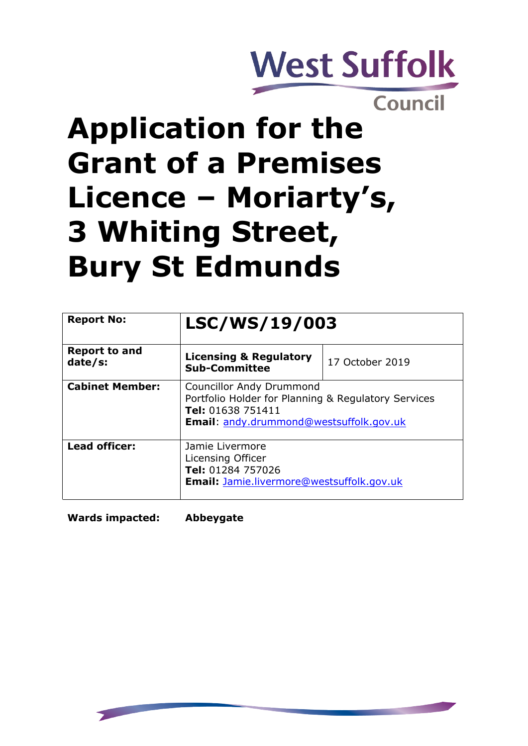

Council

# **Application for the Grant of a Premises Licence – Moriarty's, 3 Whiting Street, Bury St Edmunds**

| <b>Report No:</b>               | LSC/WS/19/003                                                                                                                                          |                 |
|---------------------------------|--------------------------------------------------------------------------------------------------------------------------------------------------------|-----------------|
| <b>Report to and</b><br>date/s: | <b>Licensing &amp; Regulatory</b><br><b>Sub-Committee</b>                                                                                              | 17 October 2019 |
| <b>Cabinet Member:</b>          | <b>Councillor Andy Drummond</b><br>Portfolio Holder for Planning & Regulatory Services<br>Tel: 01638 751411<br>Email: andy.drummond@westsuffolk.gov.uk |                 |
| <b>Lead officer:</b>            | Jamie Livermore<br>Licensing Officer<br>Tel: 01284 757026<br><b>Email: Jamie.livermore@westsuffolk.gov.uk</b>                                          |                 |

**Wards impacted: Abbeygate**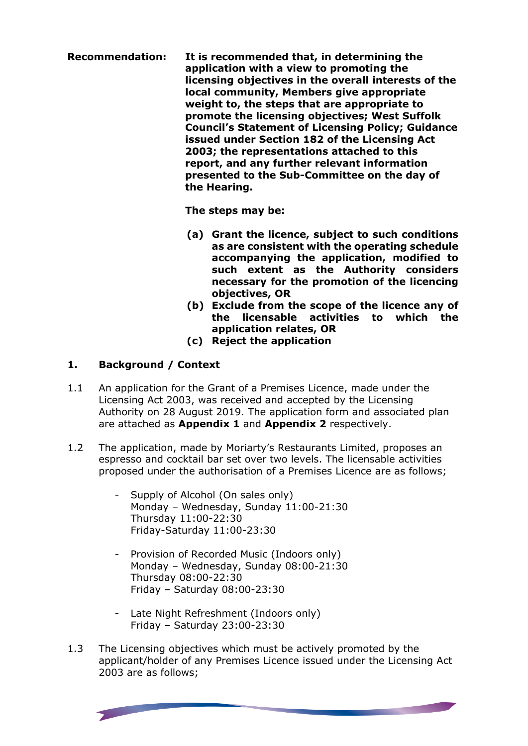**Recommendation: It is recommended that, in determining the application with a view to promoting the licensing objectives in the overall interests of the local community, Members give appropriate weight to, the steps that are appropriate to promote the licensing objectives; West Suffolk Council's Statement of Licensing Policy; Guidance issued under Section 182 of the Licensing Act 2003; the representations attached to this report, and any further relevant information presented to the Sub-Committee on the day of the Hearing.**

**The steps may be:**

- **(a) Grant the licence, subject to such conditions as are consistent with the operating schedule accompanying the application, modified to such extent as the Authority considers necessary for the promotion of the licencing objectives, OR**
- **(b) Exclude from the scope of the licence any of the licensable activities to which the application relates, OR**
- **(c) Reject the application**

## **1. Background / Context**

- 1.1 An application for the Grant of a Premises Licence, made under the Licensing Act 2003, was received and accepted by the Licensing Authority on 28 August 2019. The application form and associated plan are attached as **Appendix 1** and **Appendix 2** respectively.
- 1.2 The application, made by Moriarty's Restaurants Limited, proposes an espresso and cocktail bar set over two levels. The licensable activities proposed under the authorisation of a Premises Licence are as follows;
	- Supply of Alcohol (On sales only) Monday – Wednesday, Sunday 11:00-21:30 Thursday 11:00-22:30 Friday-Saturday 11:00-23:30
	- Provision of Recorded Music (Indoors only) Monday – Wednesday, Sunday 08:00-21:30 Thursday 08:00-22:30 Friday – Saturday 08:00-23:30
	- Late Night Refreshment (Indoors only) Friday – Saturday 23:00-23:30
- 1.3 The Licensing objectives which must be actively promoted by the applicant/holder of any Premises Licence issued under the Licensing Act 2003 are as follows;

**State of the Company's Company**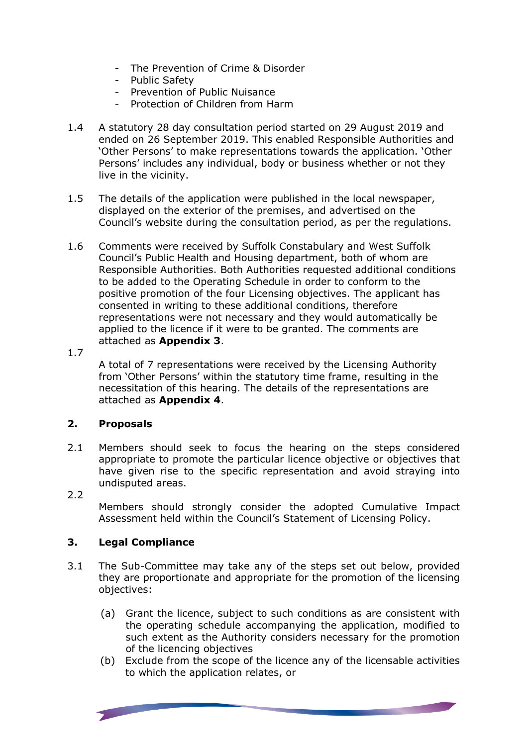- The Prevention of Crime & Disorder
- Public Safety
- Prevention of Public Nuisance
- Protection of Children from Harm
- 1.4 A statutory 28 day consultation period started on 29 August 2019 and ended on 26 September 2019. This enabled Responsible Authorities and 'Other Persons' to make representations towards the application. 'Other Persons' includes any individual, body or business whether or not they live in the vicinity.
- 1.5 The details of the application were published in the local newspaper, displayed on the exterior of the premises, and advertised on the Council's website during the consultation period, as per the regulations.
- 1.6 Comments were received by Suffolk Constabulary and West Suffolk Council's Public Health and Housing department, both of whom are Responsible Authorities. Both Authorities requested additional conditions to be added to the Operating Schedule in order to conform to the positive promotion of the four Licensing objectives. The applicant has consented in writing to these additional conditions, therefore representations were not necessary and they would automatically be applied to the licence if it were to be granted. The comments are attached as **Appendix 3**.
- 1.7

A total of 7 representations were received by the Licensing Authority from 'Other Persons' within the statutory time frame, resulting in the necessitation of this hearing. The details of the representations are attached as **Appendix 4**.

### **2. Proposals**

- 2.1 Members should seek to focus the hearing on the steps considered appropriate to promote the particular licence objective or objectives that have given rise to the specific representation and avoid straying into undisputed areas.
- 2.2

Members should strongly consider the adopted Cumulative Impact Assessment held within the Council's Statement of Licensing Policy.

#### **3. Legal Compliance**

- 3.1 The Sub-Committee may take any of the steps set out below, provided they are proportionate and appropriate for the promotion of the licensing objectives:
	- (a) Grant the licence, subject to such conditions as are consistent with the operating schedule accompanying the application, modified to such extent as the Authority considers necessary for the promotion of the licencing objectives
	- (b) Exclude from the scope of the licence any of the licensable activities to which the application relates, or

**State of the Company's Service**